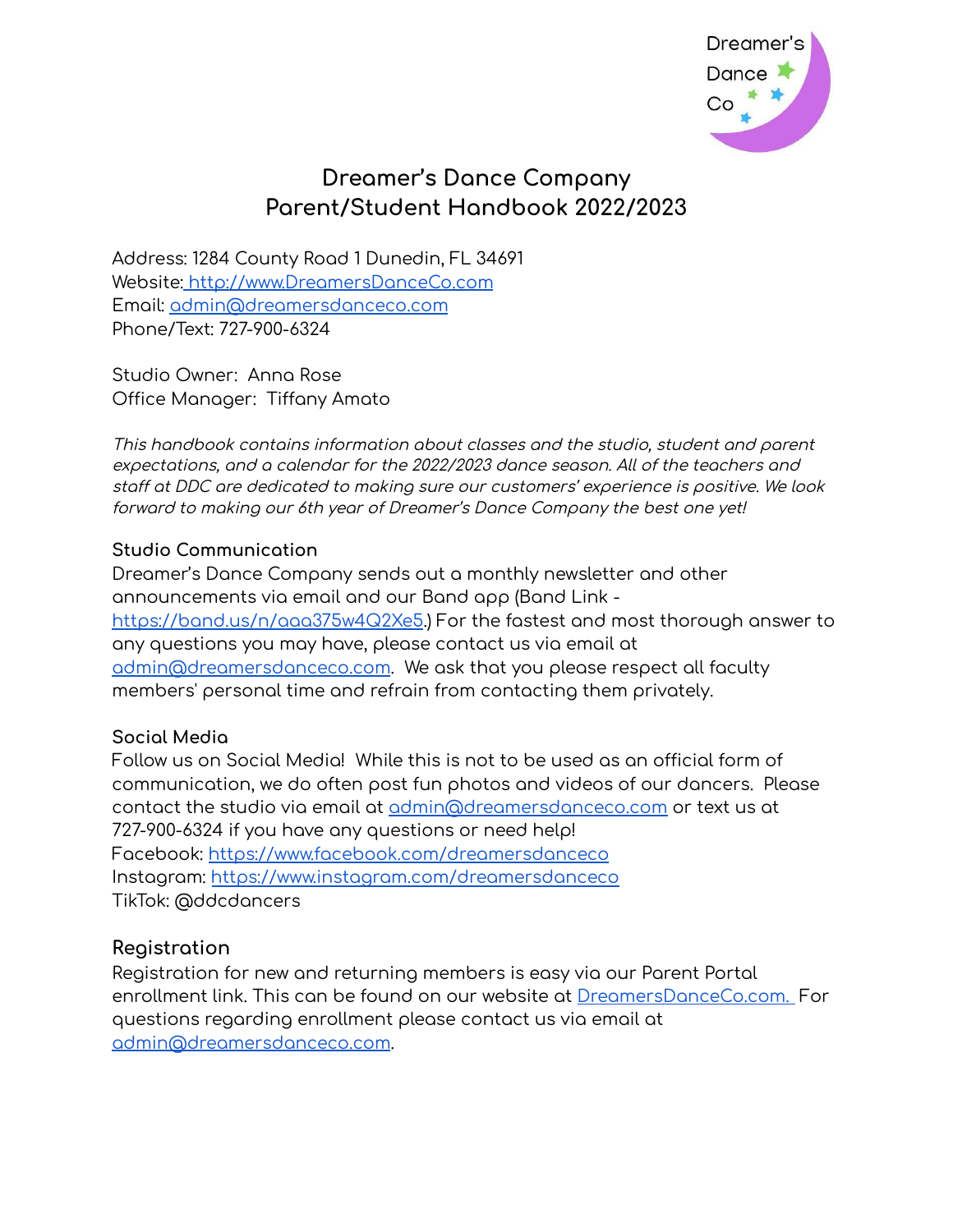

# **Dreamer's Dance Company Parent/Student Handbook 2022/2023**

Address: 1284 County Road 1 Dunedin, FL 34691 Website: [http://www.DreamersDanceCo.com](http://www.dreamersdanceco.com) Email: [admin@dreamersdanceco.com](mailto:admin@dreamersdanceco.com) Phone/Text: 727-900-6324

Studio Owner: Anna Rose Office Manager: Tiffany Amato

This handbook contains information about classes and the studio, student and parent expectations, and <sup>a</sup> calendar for the 2022/2023 dance season. All of the teachers and staff at DDC are dedicated to making sure our customers' experience is positive. We look forward to making our 6th year of Dreamer's Dance Company the best one yet!

#### **Studio Communication**

Dreamer's Dance Company sends out a monthly newsletter and other announcements via email and our Band app (Band Link <https://band.us/n/aaa375w4Q2Xe5>.) For the fastest and most thorough answer to any questions you may have, please contact us via email at [admin@dreamersdanceco.com](mailto:admin@dreamersdanceco.com). We ask that you please respect all faculty members' personal time and refrain from contacting them privately.

#### **Social Media**

Follow us on Social Media! While this is not to be used as an official form of communication, we do often post fun photos and videos of our dancers. Please contact the studio via email at [admin@dreamersdanceco.com](mailto:admin@dreamersdanceco.com) or text us at 727-900-6324 if you have any questions or need help! Facebook: <https://www.facebook.com/dreamersdanceco> Instagram: [https://www.instagram.com/dreamersdanceco](https://www.instagram.com/dreamersdanceco/) TikTok: @ddcdancers

#### **Registration**

Registration for new and returning members is easy via our Parent Portal enrollment link. This can be found on our website at [DreamersDanceCo.com.](https://www.dreamersdanceco.com/) For questions regarding enrollment please contact us via email at [admin@dreamersdanceco.com](mailto:admin@dreamersdanceco.com).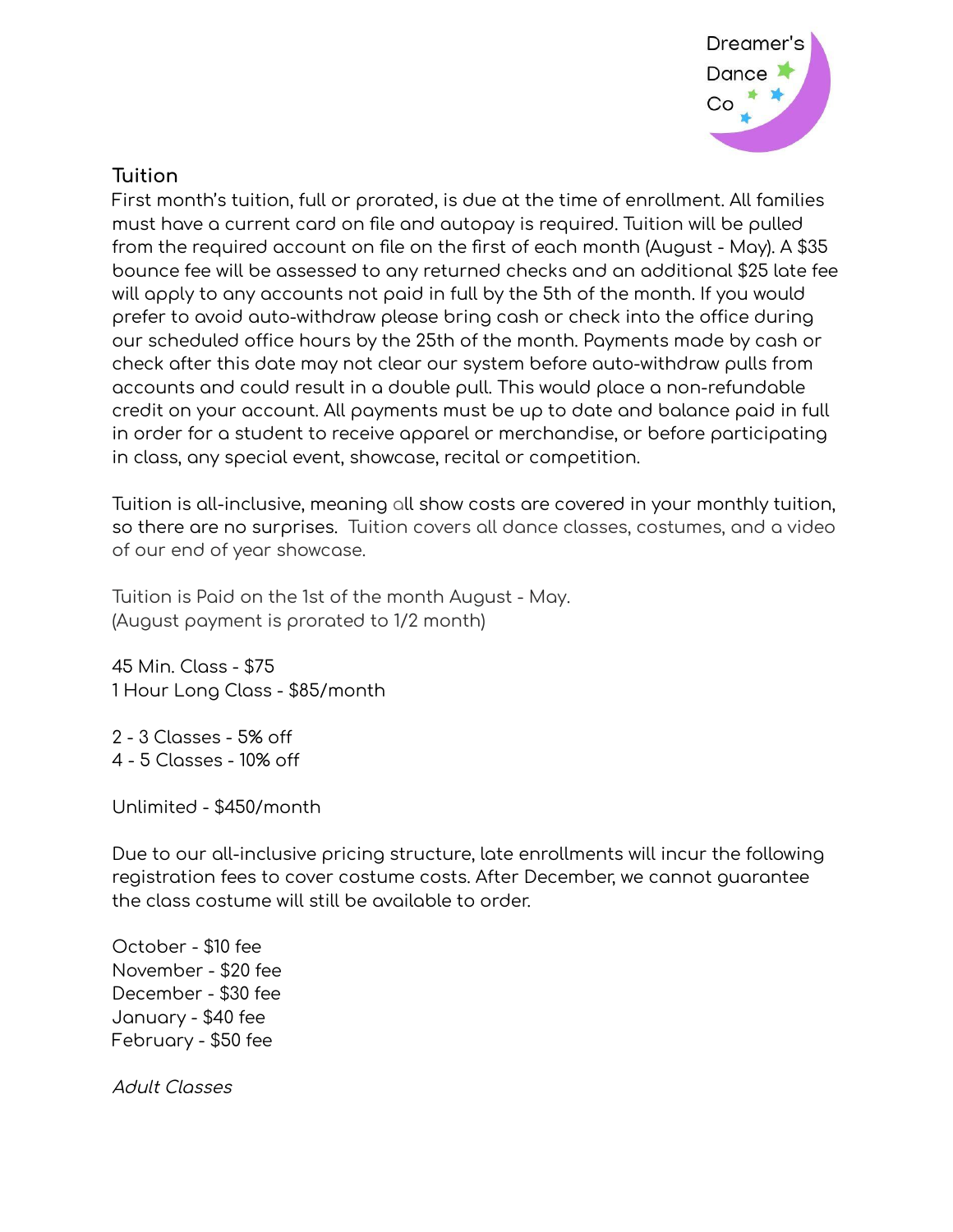

## **Tuition**

First month's tuition, full or prorated, is due at the time of enrollment. All families must have a current card on file and autopay is required. Tuition will be pulled from the required account on file on the first of each month (August - May). A \$35 bounce fee will be assessed to any returned checks and an additional \$25 late fee will apply to any accounts not paid in full by the 5th of the month. If you would prefer to avoid auto-withdraw please bring cash or check into the office during our scheduled office hours by the 25th of the month. Payments made by cash or check after this date may not clear our system before auto-withdraw pulls from accounts and could result in a double pull. This would place a non-refundable credit on your account. All payments must be up to date and balance paid in full in order for a student to receive apparel or merchandise, or before participating in class, any special event, showcase, recital or competition.

Tuition is all-inclusive, meaning all show costs are covered in your monthly tuition, so there are no surprises. Tuition covers all dance classes, costumes, and a video of our end of year showcase.

Tuition is Paid on the 1st of the month August - May. (August payment is prorated to 1/2 month)

45 Min. Class - \$75 1 Hour Long Class - \$85/month

2 - 3 Classes - 5% off 4 - 5 Classes - 10% off

Unlimited - \$450/month

Due to our all-inclusive pricing structure, late enrollments will incur the following registration fees to cover costume costs. After December, we cannot guarantee the class costume will still be available to order.

October - \$10 fee November - \$20 fee December - \$30 fee January - \$40 fee February - \$50 fee

Adult Classes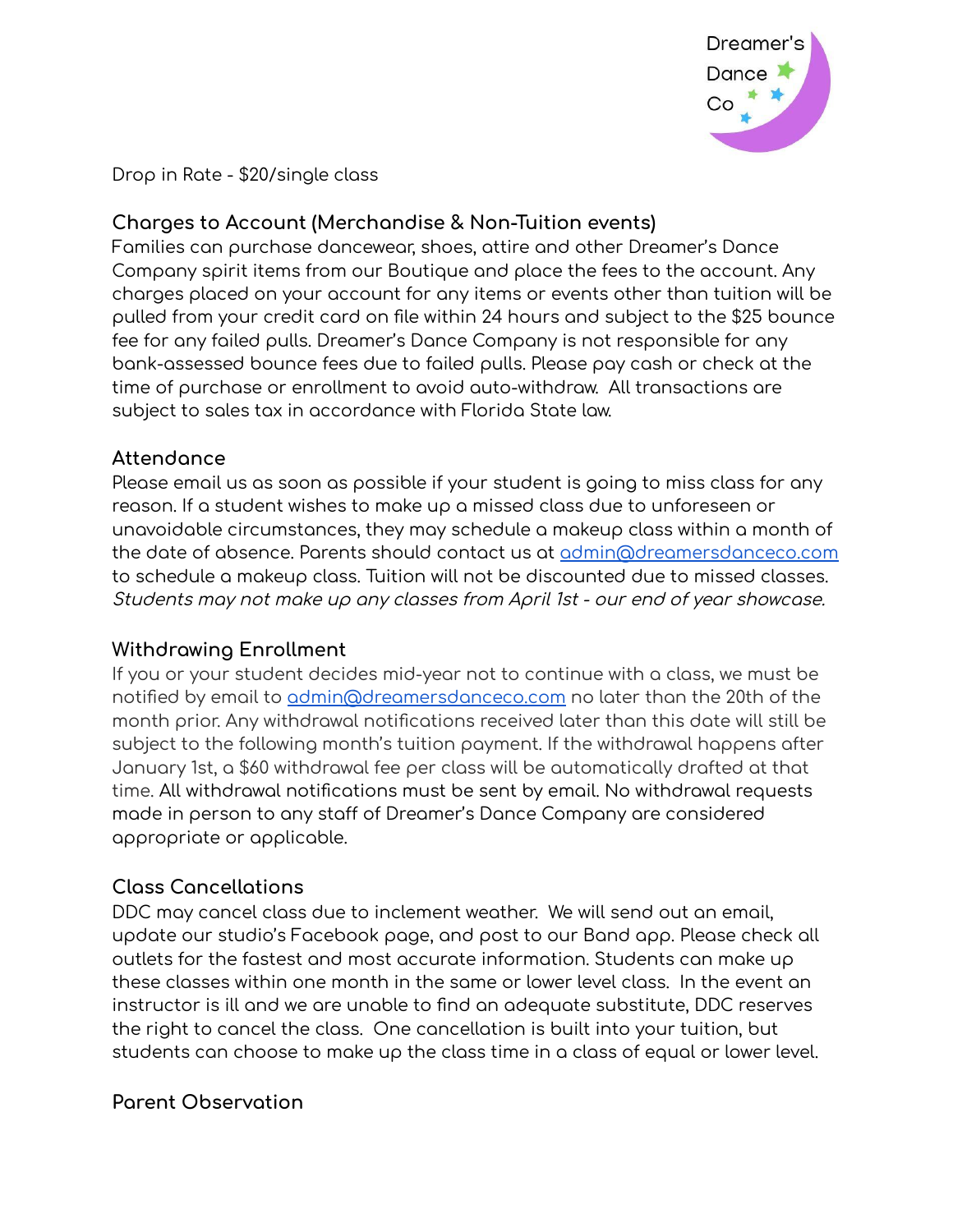

Drop in Rate - \$20/single class

## **Charges to Account (Merchandise & Non-Tuition events)**

Families can purchase dancewear, shoes, attire and other Dreamer's Dance Company spirit items from our Boutique and place the fees to the account. Any charges placed on your account for any items or events other than tuition will be pulled from your credit card on file within 24 hours and subject to the \$25 bounce fee for any failed pulls. Dreamer's Dance Company is not responsible for any bank-assessed bounce fees due to failed pulls. Please pay cash or check at the time of purchase or enrollment to avoid auto-withdraw. All transactions are subject to sales tax in accordance with Florida State law.

## **Attendance**

Please email us as soon as possible if your student is going to miss class for any reason. If a student wishes to make up a missed class due to unforeseen or unavoidable circumstances, they may schedule a makeup class within a month of the date of absence. Parents should contact us at [admin@dreamersdanceco.com](mailto:admin@dreamersdanceco.com) to schedule a makeup class. Tuition will not be discounted due to missed classes. Students may not make up any classes from April 1st - our end of year showcase.

## **Withdrawing Enrollment**

If you or your student decides mid-year not to continue with a class, we must be notified by email to [admin@dreamersdanceco.com](mailto:admin@dreamersdanceco.com) no later than the 20th of the month prior. Any withdrawal notifications received later than this date will still be subject to the following month's tuition payment. If the withdrawal happens after January 1st, a \$60 withdrawal fee per class will be automatically drafted at that time. All withdrawal notifications must be sent by email. No withdrawal requests made in person to any staff of Dreamer's Dance Company are considered appropriate or applicable.

## **Class Cancellations**

DDC may cancel class due to inclement weather. We will send out an email, update our studio's Facebook page, and post to our Band app. Please check all outlets for the fastest and most accurate information. Students can make up these classes within one month in the same or lower level class. In the event an instructor is ill and we are unable to find an adequate substitute, DDC reserves the right to cancel the class. One cancellation is built into your tuition, but students can choose to make up the class time in a class of equal or lower level.

## **Parent Observation**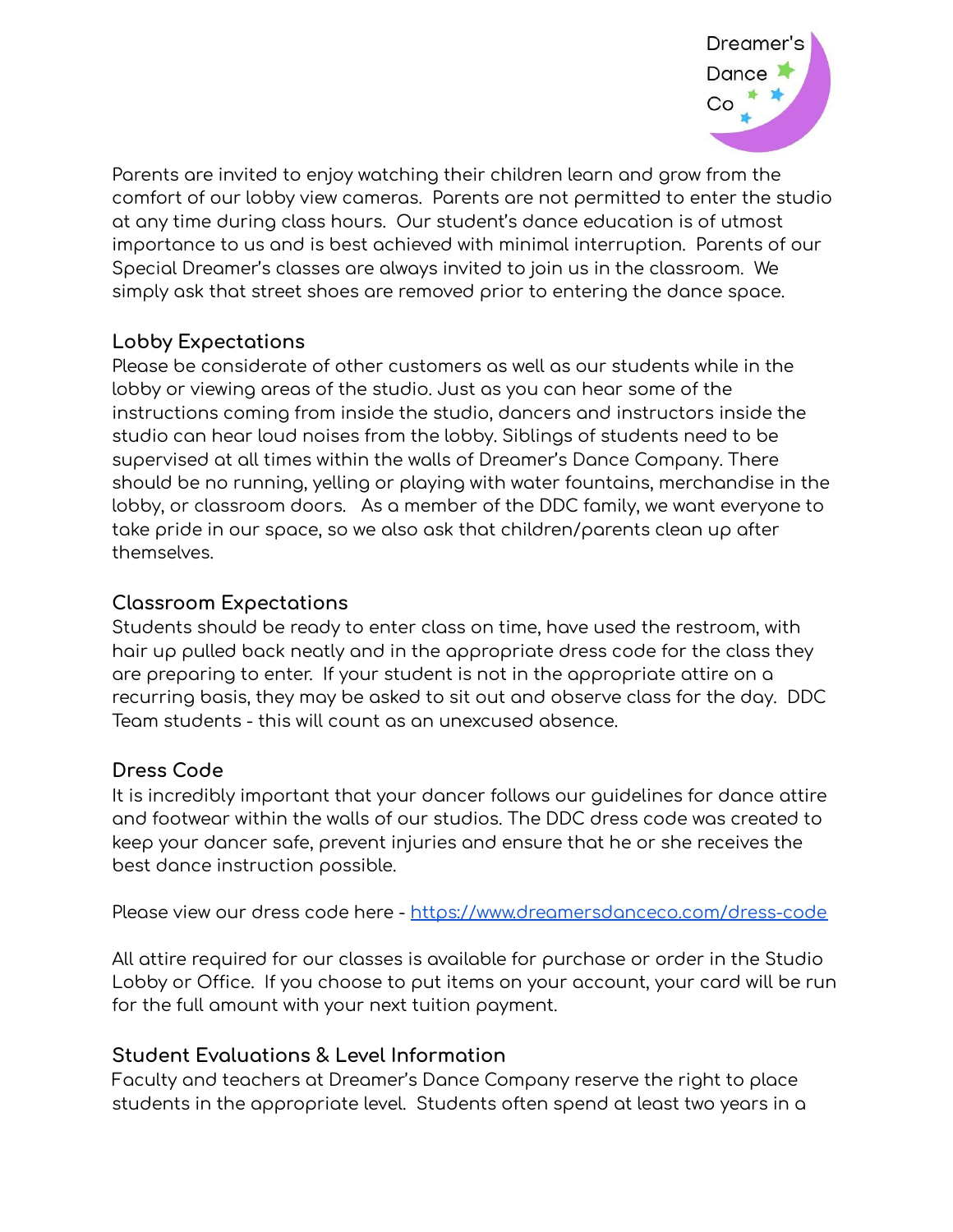

Parents are invited to enjoy watching their children learn and grow from the comfort of our lobby view cameras. Parents are not permitted to enter the studio at any time during class hours. Our student's dance education is of utmost importance to us and is best achieved with minimal interruption. Parents of our Special Dreamer's classes are always invited to join us in the classroom. We simply ask that street shoes are removed prior to entering the dance space.

## **Lobby Expectations**

Please be considerate of other customers as well as our students while in the lobby or viewing areas of the studio. Just as you can hear some of the instructions coming from inside the studio, dancers and instructors inside the studio can hear loud noises from the lobby. Siblings of students need to be supervised at all times within the walls of Dreamer's Dance Company. There should be no running, yelling or playing with water fountains, merchandise in the lobby, or classroom doors. As a member of the DDC family, we want everyone to take pride in our space, so we also ask that children/parents clean up after themselves.

## **Classroom Expectations**

Students should be ready to enter class on time, have used the restroom, with hair up pulled back neatly and in the appropriate dress code for the class they are preparing to enter. If your student is not in the appropriate attire on a recurring basis, they may be asked to sit out and observe class for the day. DDC Team students - this will count as an unexcused absence.

#### **Dress Code**

It is incredibly important that your dancer follows our guidelines for dance attire and footwear within the walls of our studios. The DDC dress code was created to keep your dancer safe, prevent injuries and ensure that he or she receives the best dance instruction possible.

Please view our dress code here - <https://www.dreamersdanceco.com/dress-code>

All attire required for our classes is available for purchase or order in the Studio Lobby or Office. If you choose to put items on your account, your card will be run for the full amount with your next tuition payment.

## **Student Evaluations & Level Information**

Faculty and teachers at Dreamer's Dance Company reserve the right to place students in the appropriate level. Students often spend at least two years in a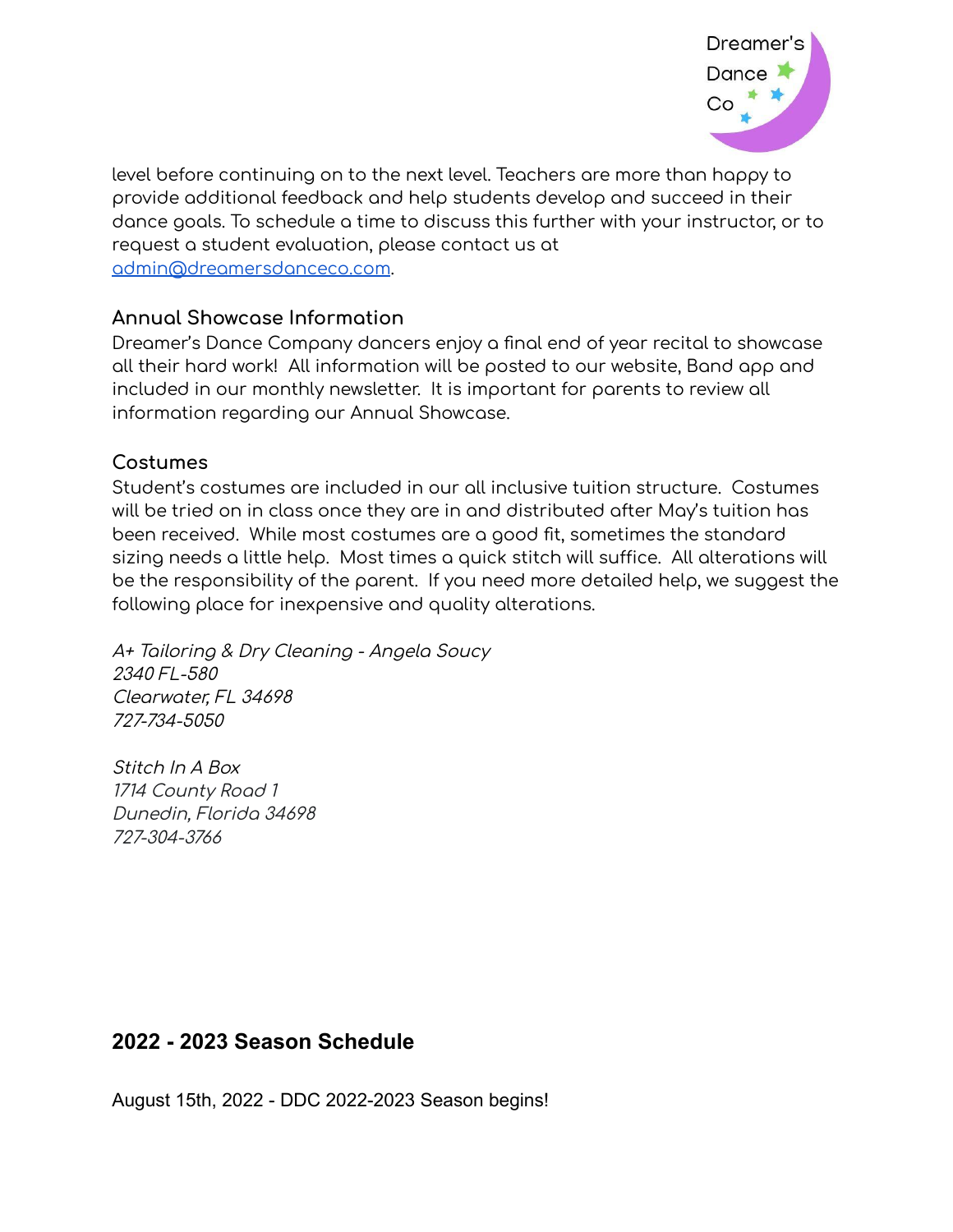

level before continuing on to the next level. Teachers are more than happy to provide additional feedback and help students develop and succeed in their dance goals. To schedule a time to discuss this further with your instructor, or to request a student evaluation, please contact us at [admin@dreamersdanceco.com](mailto:admin@dreamersdanceco.com).

#### **Annual Showcase Information**

Dreamer's Dance Company dancers enjoy a final end of year recital to showcase all their hard work! All information will be posted to our website, Band app and included in our monthly newsletter. It is important for parents to review all information regarding our Annual Showcase.

#### **Costumes**

Student's costumes are included in our all inclusive tuition structure. Costumes will be tried on in class once they are in and distributed after May's tuition has been received. While most costumes are a good fit, sometimes the standard sizing needs a little help. Most times a quick stitch will suffice. All alterations will be the responsibility of the parent. If you need more detailed help, we suggest the following place for inexpensive and quality alterations.

A+ Tailoring & Dry Cleaning - Angela Soucy 2340 FL-580 Clearwater, FL 34698 727-734-5050

Stitch In A Box 1714 County Road 1 Dunedin, Florida 34698 727-304-3766

# **2022 - 2023 Season Schedule**

August 15th, 2022 - DDC 2022-2023 Season begins!